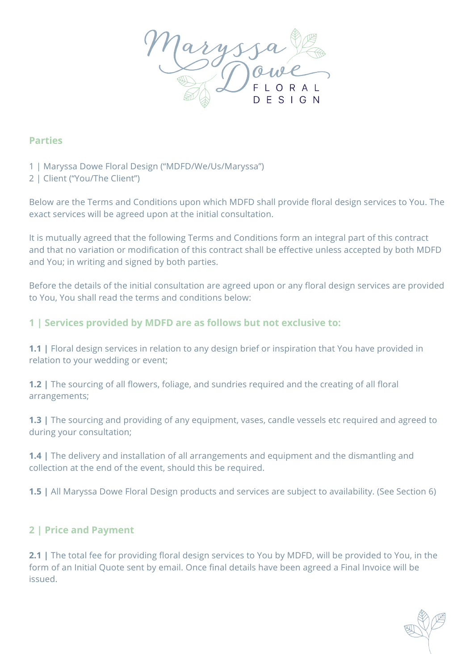

#### **Parties**

- 1 | Maryssa Dowe Floral Design ("MDFD/We/Us/Maryssa")
- 2 | Client ("You/The Client")

Below are the Terms and Conditions upon which MDFD shall provide floral design services to You. The exact services will be agreed upon at the initial consultation.

It is mutually agreed that the following Terms and Conditions form an integral part of this contract and that no variation or modification of this contract shall be effective unless accepted by both MDFD and You; in writing and signed by both parties.

Before the details of the initial consultation are agreed upon or any floral design services are provided to You, You shall read the terms and conditions below:

### **1 | Services provided by MDFD are as follows but not exclusive to:**

**1.1 |** Floral design services in relation to any design brief or inspiration that You have provided in relation to your wedding or event;

**1.2 |** The sourcing of all flowers, foliage, and sundries required and the creating of all floral arrangements;

**1.3** | The sourcing and providing of any equipment, vases, candle vessels etc required and agreed to during your consultation;

**1.4 |** The delivery and installation of all arrangements and equipment and the dismantling and collection at the end of the event, should this be required.

**1.5 |** All Maryssa Dowe Floral Design products and services are subject to availability. (See Section 6)

### **2 | Price and Payment**

**2.1 |** The total fee for providing floral design services to You by MDFD, will be provided to You, in the form of an Initial Quote sent by email. Once final details have been agreed a Final Invoice will be issued.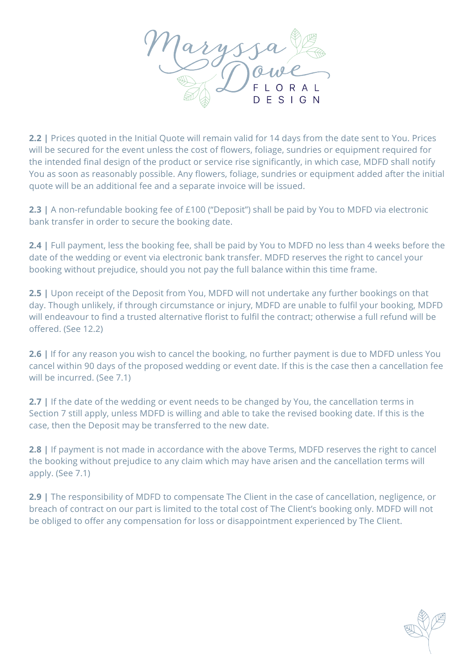

**2.2 |** Prices quoted in the Initial Quote will remain valid for 14 days from the date sent to You. Prices will be secured for the event unless the cost of flowers, foliage, sundries or equipment required for the intended final design of the product or service rise significantly, in which case, MDFD shall notify You as soon as reasonably possible. Any flowers, foliage, sundries or equipment added after the initial quote will be an additional fee and a separate invoice will be issued.

**2.3 |** A non-refundable booking fee of £100 ("Deposit") shall be paid by You to MDFD via electronic bank transfer in order to secure the booking date.

**2.4 |** Full payment, less the booking fee, shall be paid by You to MDFD no less than 4 weeks before the date of the wedding or event via electronic bank transfer. MDFD reserves the right to cancel your booking without prejudice, should you not pay the full balance within this time frame.

**2.5 |** Upon receipt of the Deposit from You, MDFD will not undertake any further bookings on that day. Though unlikely, if through circumstance or injury, MDFD are unable to fulfil your booking, MDFD will endeavour to find a trusted alternative florist to fulfil the contract; otherwise a full refund will be offered. (See 12.2)

**2.6 |** If for any reason you wish to cancel the booking, no further payment is due to MDFD unless You cancel within 90 days of the proposed wedding or event date. If this is the case then a cancellation fee will be incurred. (See 7.1)

**2.7 |** If the date of the wedding or event needs to be changed by You, the cancellation terms in Section 7 still apply, unless MDFD is willing and able to take the revised booking date. If this is the case, then the Deposit may be transferred to the new date.

**2.8 |** If payment is not made in accordance with the above Terms, MDFD reserves the right to cancel the booking without prejudice to any claim which may have arisen and the cancellation terms will apply. (See 7.1)

**2.9 |** The responsibility of MDFD to compensate The Client in the case of cancellation, negligence, or breach of contract on our part is limited to the total cost of The Client's booking only. MDFD will not be obliged to offer any compensation for loss or disappointment experienced by The Client.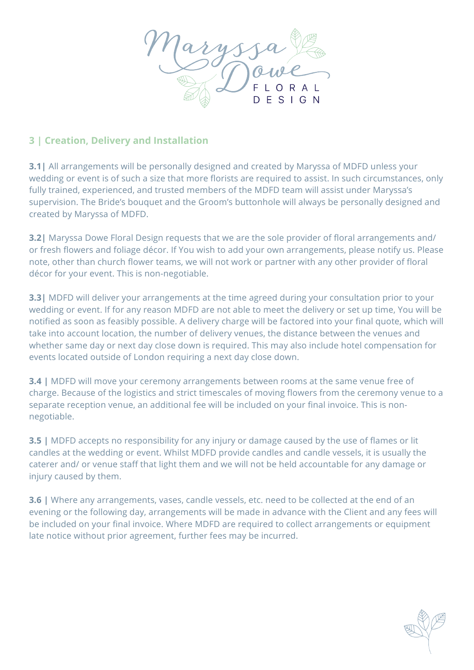

# **3 | Creation, Delivery and Installation**

**3.1|** All arrangements will be personally designed and created by Maryssa of MDFD unless your wedding or event is of such a size that more florists are required to assist. In such circumstances, only fully trained, experienced, and trusted members of the MDFD team will assist under Maryssa's supervision. The Bride's bouquet and the Groom's buttonhole will always be personally designed and created by Maryssa of MDFD.

**3.2|** Maryssa Dowe Floral Design requests that we are the sole provider of floral arrangements and/ or fresh flowers and foliage décor. If You wish to add your own arrangements, please notify us. Please note, other than church flower teams, we will not work or partner with any other provider of floral décor for your event. This is non-negotiable.

**3.3|** MDFD will deliver your arrangements at the time agreed during your consultation prior to your wedding or event. If for any reason MDFD are not able to meet the delivery or set up time, You will be notified as soon as feasibly possible. A delivery charge will be factored into your final quote, which will take into account location, the number of delivery venues, the distance between the venues and whether same day or next day close down is required. This may also include hotel compensation for events located outside of London requiring a next day close down.

**3.4 |** MDFD will move your ceremony arrangements between rooms at the same venue free of charge. Because of the logistics and strict timescales of moving flowers from the ceremony venue to a separate reception venue, an additional fee will be included on your final invoice. This is nonnegotiable.

**3.5 |** MDFD accepts no responsibility for any injury or damage caused by the use of flames or lit candles at the wedding or event. Whilst MDFD provide candles and candle vessels, it is usually the caterer and/ or venue staff that light them and we will not be held accountable for any damage or injury caused by them.

**3.6 |** Where any arrangements, vases, candle vessels, etc. need to be collected at the end of an evening or the following day, arrangements will be made in advance with the Client and any fees will be included on your final invoice. Where MDFD are required to collect arrangements or equipment late notice without prior agreement, further fees may be incurred.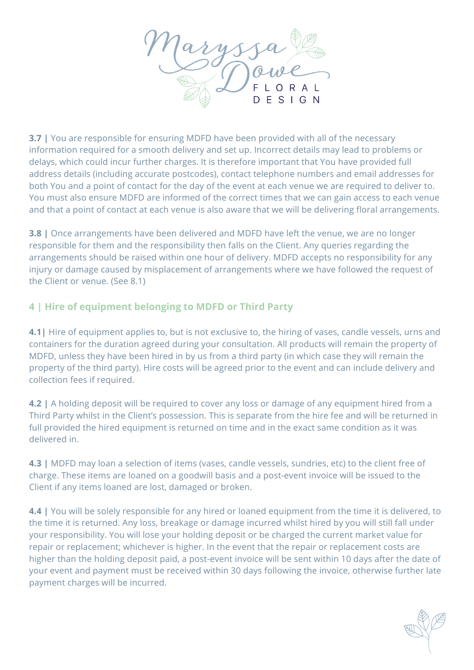

**3.7 |** You are responsible for ensuring MDFD have been provided with all of the necessary information required for a smooth delivery and set up. Incorrect details may lead to problems or delays, which could incur further charges. It is therefore important that You have provided full address details (including accurate postcodes), contact telephone numbers and email addresses for both You and a point of contact for the day of the event at each venue we are required to deliver to. You must also ensure MDFD are informed of the correct times that we can gain access to each venue and that a point of contact at each venue is also aware that we will be delivering floral arrangements.

**3.8** | Once arrangements have been delivered and MDFD have left the venue, we are no longer responsible for them and the responsibility then falls on the Client. Any queries regarding the arrangements should be raised within one hour of delivery. MDFD accepts no responsibility for any injury or damage caused by misplacement of arrangements where we have followed the request of the Client or venue. (See 8.1)

# **4 | Hire of equipment belonging to MDFD or Third Party**

**4.1** Hire of equipment applies to, but is not exclusive to, the hiring of vases, candle vessels, urns and containers for the duration agreed during your consultation. All products will remain the property of MDFD, unless they have been hired in by us from a third party (in which case they will remain the property of the third party). Hire costs will be agreed prior to the event and can include delivery and collection fees if required.

**4.2** | A holding deposit will be required to cover any loss or damage of any equipment hired from a Third Party whilst in the Client's possession. This is separate from the hire fee and will be returned in full provided the hired equipment is returned on time and in the exact same condition as it was delivered in.

**4.3** | MDFD may loan a selection of items (vases, candle vessels, sundries, etc) to the client free of charge. These items are loaned on a goodwill basis and a post-event invoice will be issued to the Client if any items loaned are lost, damaged or broken.

**4.4 |** You will be solely responsible for any hired or loaned equipment from the time it is delivered, to the time it is returned. Any loss, breakage or damage incurred whilst hired by you will still fall under your responsibility. You will lose your holding deposit or be charged the current market value for repair or replacement; whichever is higher. In the event that the repair or replacement costs are higher than the holding deposit paid, a post-event invoice will be sent within 10 days after the date of your event and payment must be received within 30 days following the invoice, otherwise further late payment charges will be incurred.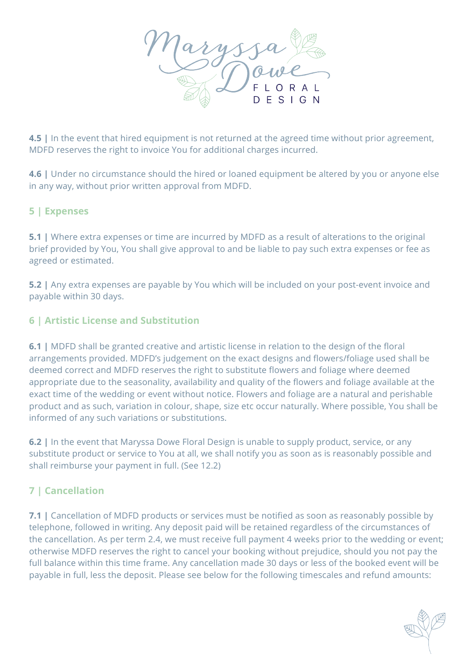

**4.5 |** In the event that hired equipment is not returned at the agreed time without prior agreement, MDFD reserves the right to invoice You for additional charges incurred.

**4.6** | Under no circumstance should the hired or loaned equipment be altered by you or anyone else in any way, without prior written approval from MDFD.

### **5 | Expenses**

**5.1** | Where extra expenses or time are incurred by MDFD as a result of alterations to the original brief provided by You, You shall give approval to and be liable to pay such extra expenses or fee as agreed or estimated.

**5.2 |** Any extra expenses are payable by You which will be included on your post-event invoice and payable within 30 days.

### **6 | Artistic License and Substitution**

**6.1** | MDFD shall be granted creative and artistic license in relation to the design of the floral arrangements provided. MDFD's judgement on the exact designs and flowers/foliage used shall be deemed correct and MDFD reserves the right to substitute flowers and foliage where deemed appropriate due to the seasonality, availability and quality of the flowers and foliage available at the exact time of the wedding or event without notice. Flowers and foliage are a natural and perishable product and as such, variation in colour, shape, size etc occur naturally. Where possible, You shall be informed of any such variations or substitutions.

**6.2 |** In the event that Maryssa Dowe Floral Design is unable to supply product, service, or any substitute product or service to You at all, we shall notify you as soon as is reasonably possible and shall reimburse your payment in full. (See 12.2)

# **7 | Cancellation**

**7.1 |** Cancellation of MDFD products or services must be notified as soon as reasonably possible by telephone, followed in writing. Any deposit paid will be retained regardless of the circumstances of the cancellation. As per term 2.4, we must receive full payment 4 weeks prior to the wedding or event; otherwise MDFD reserves the right to cancel your booking without prejudice, should you not pay the full balance within this time frame. Any cancellation made 30 days or less of the booked event will be payable in full, less the deposit. Please see below for the following timescales and refund amounts: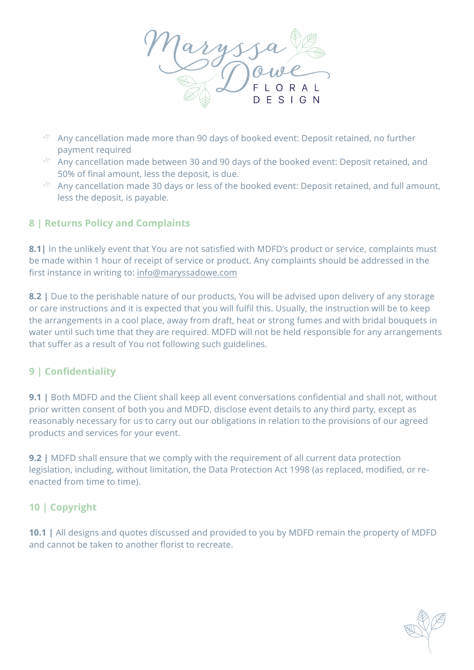

- Any cancellation made more than 90 days of booked event: Deposit retained, no further payment required
- $\sqrt[4]{ }$  Any cancellation made between 30 and 90 days of the booked event: Deposit retained, and 50% of final amount, less the deposit, is due.
- Any cancellation made 30 days or less of the booked event: Deposit retained, and full amount, less the deposit, is payable.

# **8 | Returns Policy and Complaints**

**8.1|** In the unlikely event that You are not satisfied with MDFD's product or service, complaints must be made within 1 hour of receipt of service or product. Any complaints should be addressed in the first instance in writing to: info@maryssadowe.com

**8.2 |** Due to the perishable nature of our products, You will be advised upon delivery of any storage or care instructions and it is expected that you will fulfil this. Usually, the instruction will be to keep the arrangements in a cool place, away from draft, heat or strong fumes and with bridal bouquets in water until such time that they are required. MDFD will not be held responsible for any arrangements that suffer as a result of You not following such guidelines.

# **9 | Confidentiality**

**9.1 |** Both MDFD and the Client shall keep all event conversations confidential and shall not, without prior written consent of both you and MDFD, disclose event details to any third party, except as reasonably necessary for us to carry out our obligations in relation to the provisions of our agreed products and services for your event.

**9.2 |** MDFD shall ensure that we comply with the requirement of all current data protection legislation, including, without limitation, the Data Protection Act 1998 (as replaced, modified, or reenacted from time to time).

# **10 | Copyright**

**10.1 |** All designs and quotes discussed and provided to you by MDFD remain the property of MDFD and cannot be taken to another florist to recreate.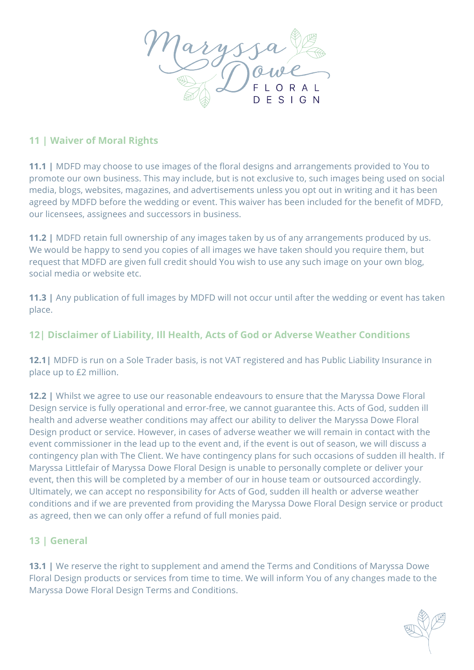

### **11 | Waiver of Moral Rights**

**11.1 |** MDFD may choose to use images of the floral designs and arrangements provided to You to promote our own business. This may include, but is not exclusive to, such images being used on social media, blogs, websites, magazines, and advertisements unless you opt out in writing and it has been agreed by MDFD before the wedding or event. This waiver has been included for the benefit of MDFD, our licensees, assignees and successors in business.

**11.2 |** MDFD retain full ownership of any images taken by us of any arrangements produced by us. We would be happy to send you copies of all images we have taken should you require them, but request that MDFD are given full credit should You wish to use any such image on your own blog, social media or website etc.

**11.3 |** Any publication of full images by MDFD will not occur until after the wedding or event has taken place.

# **12| Disclaimer of Liability, Ill Health, Acts of God or Adverse Weather Conditions**

**12.1|** MDFD is run on a Sole Trader basis, is not VAT registered and has Public Liability Insurance in place up to £2 million.

**12.2 |** Whilst we agree to use our reasonable endeavours to ensure that the Maryssa Dowe Floral Design service is fully operational and error-free, we cannot guarantee this. Acts of God, sudden ill health and adverse weather conditions may affect our ability to deliver the Maryssa Dowe Floral Design product or service. However, in cases of adverse weather we will remain in contact with the event commissioner in the lead up to the event and, if the event is out of season, we will discuss a contingency plan with The Client. We have contingency plans for such occasions of sudden ill health. If Maryssa Littlefair of Maryssa Dowe Floral Design is unable to personally complete or deliver your event, then this will be completed by a member of our in house team or outsourced accordingly. Ultimately, we can accept no responsibility for Acts of God, sudden ill health or adverse weather conditions and if we are prevented from providing the Maryssa Dowe Floral Design service or product as agreed, then we can only offer a refund of full monies paid.

# **13 | General**

**13.1** | We reserve the right to supplement and amend the Terms and Conditions of Maryssa Dowe Floral Design products or services from time to time. We will inform You of any changes made to the Maryssa Dowe Floral Design Terms and Conditions.